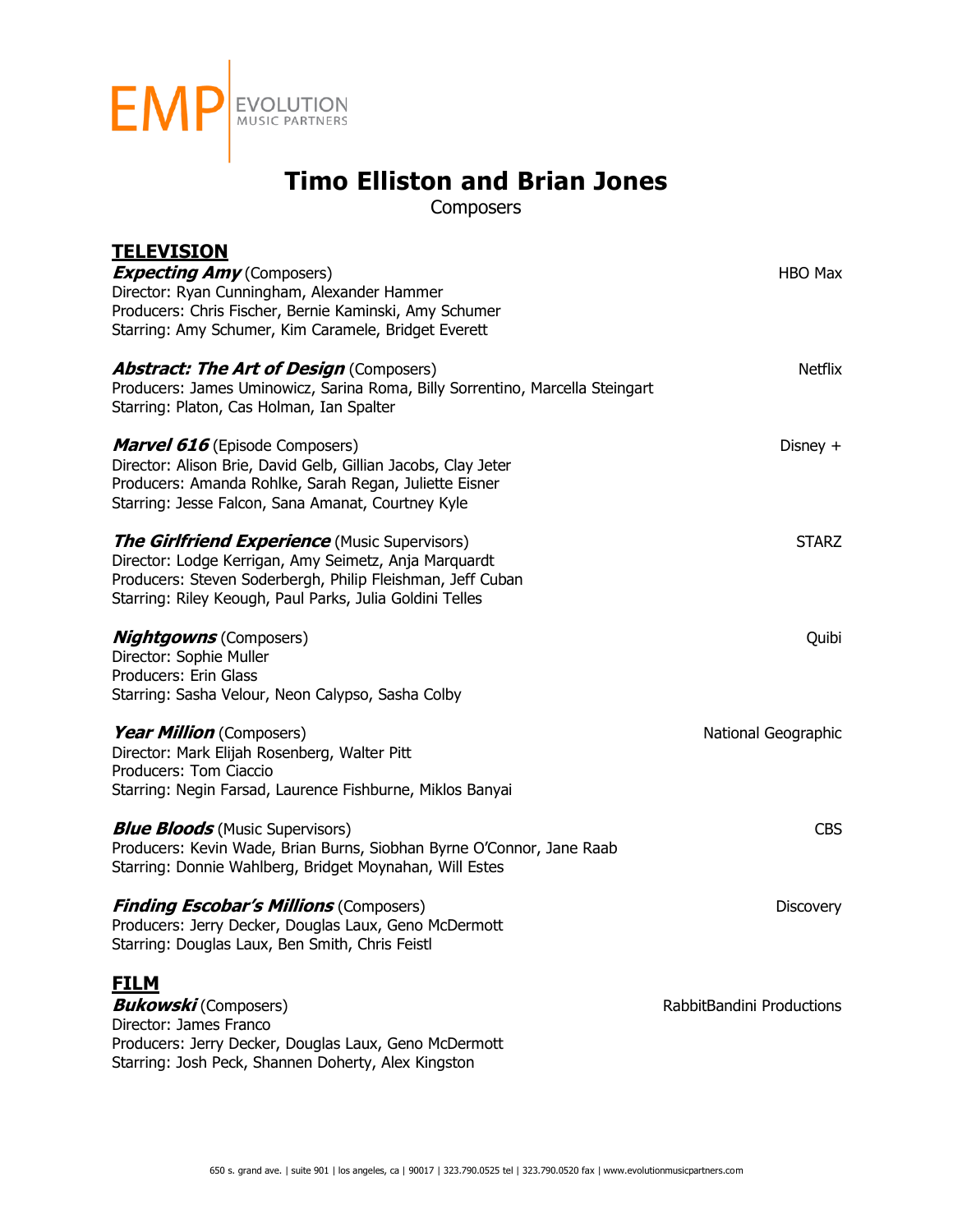

**Composers** 

| <u>TELEVISION</u><br><b>Expecting Amy</b> (Composers)<br>Director: Ryan Cunningham, Alexander Hammer<br>Producers: Chris Fischer, Bernie Kaminski, Amy Schumer<br>Starring: Amy Schumer, Kim Caramele, Bridget Everett                  | <b>HBO Max</b>            |
|-----------------------------------------------------------------------------------------------------------------------------------------------------------------------------------------------------------------------------------------|---------------------------|
| <b>Abstract: The Art of Design (Composers)</b><br>Producers: James Uminowicz, Sarina Roma, Billy Sorrentino, Marcella Steingart<br>Starring: Platon, Cas Holman, Ian Spalter                                                            | Netflix                   |
| <b>Marvel 616</b> (Episode Composers)<br>Director: Alison Brie, David Gelb, Gillian Jacobs, Clay Jeter<br>Producers: Amanda Rohlke, Sarah Regan, Juliette Eisner<br>Starring: Jesse Falcon, Sana Amanat, Courtney Kyle                  | Disney $+$                |
| <b>The Girlfriend Experience</b> (Music Supervisors)<br>Director: Lodge Kerrigan, Amy Seimetz, Anja Marquardt<br>Producers: Steven Soderbergh, Philip Fleishman, Jeff Cuban<br>Starring: Riley Keough, Paul Parks, Julia Goldini Telles | <b>STARZ</b>              |
| <b>Nightgowns</b> (Composers)<br>Director: Sophie Muller<br>Producers: Erin Glass<br>Starring: Sasha Velour, Neon Calypso, Sasha Colby                                                                                                  | Quibi                     |
| Year Million (Composers)<br>Director: Mark Elijah Rosenberg, Walter Pitt<br>Producers: Tom Ciaccio<br>Starring: Negin Farsad, Laurence Fishburne, Miklos Banyai                                                                         | National Geographic       |
| <b>Blue Bloods</b> (Music Supervisors)<br>Producers: Kevin Wade, Brian Burns, Siobhan Byrne O'Connor, Jane Raab<br>Starring: Donnie Wahlberg, Bridget Moynahan, Will Estes                                                              | <b>CBS</b>                |
| <b>Finding Escobar's Millions (Composers)</b><br>Producers: Jerry Decker, Douglas Laux, Geno McDermott<br>Starring: Douglas Laux, Ben Smith, Chris Feistl                                                                               | <b>Discovery</b>          |
| <b>FILM</b><br><b>Bukowski</b> (Composers)<br>Director: James Franco<br>Producers: Jerry Decker, Douglas Laux, Geno McDermott<br>Starring: Josh Peck, Shannen Doherty, Alex Kingston                                                    | RabbitBandini Productions |